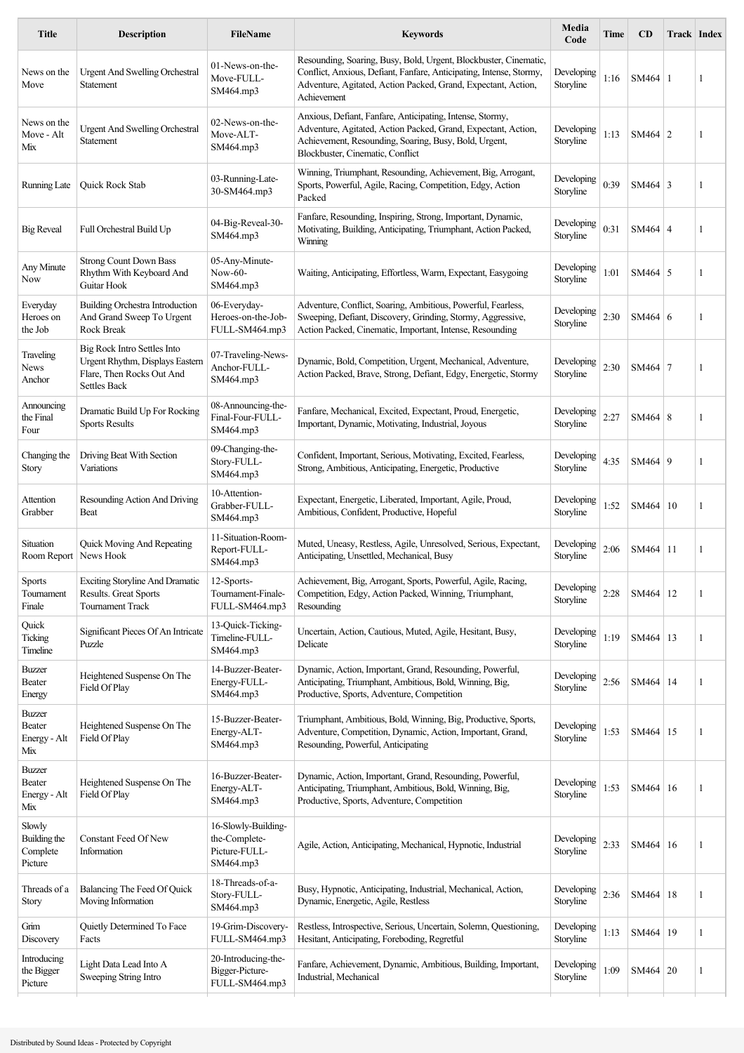| <b>Title</b>                                  | <b>Description</b>                                                                                                 | <b>FileName</b>                                                    | <b>Keywords</b>                                                                                                                                                                                                         | Media<br>Code           | Time | CD             | <b>Track Index</b> |              |
|-----------------------------------------------|--------------------------------------------------------------------------------------------------------------------|--------------------------------------------------------------------|-------------------------------------------------------------------------------------------------------------------------------------------------------------------------------------------------------------------------|-------------------------|------|----------------|--------------------|--------------|
| News on the<br>Move                           | <b>Urgent And Swelling Orchestral</b><br>Statement                                                                 | 01-News-on-the-<br>Move-FULL-<br>SM464.mp3                         | Resounding, Soaring, Busy, Bold, Urgent, Blockbuster, Cinematic,<br>Conflict, Anxious, Defiant, Fanfare, Anticipating, Intense, Stormy,<br>Adventure, Agitated, Action Packed, Grand, Expectant, Action,<br>Achievement | Developing<br>Storyline | 1:16 | $SM464 \mid 1$ |                    | 1            |
| News on the<br>Move - Alt<br>Mix              | <b>Urgent And Swelling Orchestral</b><br>Statement                                                                 | 02-News-on-the-<br>Move-ALT-<br>SM464.mp3                          | Anxious, Defiant, Fanfare, Anticipating, Intense, Stormy,<br>Adventure, Agitated, Action Packed, Grand, Expectant, Action,<br>Achievement, Resounding, Soaring, Busy, Bold, Urgent,<br>Blockbuster, Cinematic, Conflict | Developing<br>Storyline | 1:13 | $SM464$ 2      |                    | 1            |
| Running Late                                  | Quick Rock Stab                                                                                                    | 03-Running-Late-<br>30-SM464.mp3                                   | Winning, Triumphant, Resounding, Achievement, Big, Arrogant,<br>Sports, Powerful, Agile, Racing, Competition, Edgy, Action<br>Packed                                                                                    | Developing<br>Storyline | 0:39 | $SM464$ 3      |                    | 1            |
| <b>Big Reveal</b>                             | Full Orchestral Build Up                                                                                           | 04-Big-Reveal-30-<br>SM464.mp3                                     | Fanfare, Resounding, Inspiring, Strong, Important, Dynamic,<br>Motivating, Building, Anticipating, Triumphant, Action Packed,<br>Winning                                                                                | Developing<br>Storyline | 0:31 | $SM464 \mid 4$ |                    | 1            |
| Any Minute<br>Now                             | <b>Strong Count Down Bass</b><br>Rhythm With Keyboard And<br>Guitar Hook                                           | 05-Any-Minute-<br>Now-60-<br>SM464.mp3                             | Waiting, Anticipating, Effortless, Warm, Expectant, Easygoing                                                                                                                                                           | Developing<br>Storyline | 1:01 | $SM464 \mid 5$ |                    | 1            |
| Everyday<br>Heroes on<br>the Job              | Building Orchestra Introduction<br>And Grand Sweep To Urgent<br>Rock Break                                         | 06-Everyday-<br>Heroes-on-the-Job-<br>FULL-SM464.mp3               | Adventure, Conflict, Soaring, Ambitious, Powerful, Fearless,<br>Sweeping, Defiant, Discovery, Grinding, Stormy, Aggressive,<br>Action Packed, Cinematic, Important, Intense, Resounding                                 | Developing<br>Storyline | 2:30 | SM464 6        |                    | 1            |
| Traveling<br>News<br>Anchor                   | Big Rock Intro Settles Into<br>Urgent Rhythm, Displays Eastern<br>Flare, Then Rocks Out And<br><b>Settles Back</b> | 07-Traveling-News-<br>Anchor-FULL-<br>SM464.mp3                    | Dynamic, Bold, Competition, Urgent, Mechanical, Adventure,<br>Action Packed, Brave, Strong, Defiant, Edgy, Energetic, Stormy                                                                                            | Developing<br>Storyline | 2:30 | SM464 7        |                    | 1            |
| Announcing<br>the Final<br>Four               | Dramatic Build Up For Rocking<br><b>Sports Results</b>                                                             | 08-Announcing-the-<br>Final-Four-FULL-<br>SM464.mp3                | Fanfare, Mechanical, Excited, Expectant, Proud, Energetic,<br>Important, Dynamic, Motivating, Industrial, Joyous                                                                                                        | Developing<br>Storyline | 2:27 | SM464 8        |                    | 1            |
| Changing the<br>Story                         | Driving Beat With Section<br>Variations                                                                            | 09-Changing-the-<br>Story-FULL-<br>SM464.mp3                       | Confident, Important, Serious, Motivating, Excited, Fearless,<br>Strong, Ambitious, Anticipating, Energetic, Productive                                                                                                 | Developing<br>Storyline | 4:35 | SM464 9        |                    | -1           |
| Attention<br>Grabber                          | Resounding Action And Driving<br>Beat                                                                              | 10-Attention-<br>Grabber-FULL-<br>SM464.mp3                        | Expectant, Energetic, Liberated, Important, Agile, Proud,<br>Ambitious, Confident, Productive, Hopeful                                                                                                                  | Developing<br>Storyline | 1:52 | SM464   10     |                    | 1            |
| Situation<br>Room Report   News Hook          | Quick Moving And Repeating                                                                                         | 11-Situation-Room-<br>Report-FULL-<br>SM464.mp3                    | Muted, Uneasy, Restless, Agile, Unresolved, Serious, Expectant,<br>Anticipating, Unsettled, Mechanical, Busy                                                                                                            | Developing<br>Storyline | 2:06 | SM464   11     |                    | 1            |
| Sports<br>Tournament<br>Finale                | <b>Exciting Storyline And Dramatic</b><br>Results. Great Sports<br><b>Tournament Track</b>                         | 12-Sports-<br>Tournament-Finale-<br>FULL-SM464.mp3                 | Achievement, Big, Arrogant, Sports, Powerful, Agile, Racing,<br>Competition, Edgy, Action Packed, Winning, Triumphant,<br>Resounding                                                                                    | Developing<br>Storyline | 2:28 | SM464 12       |                    | 1            |
| Quick<br>Ticking<br>Timeline                  | Significant Pieces Of An Intricate<br>Puzzle                                                                       | 13-Quick-Ticking-<br>Timeline-FULL-<br>SM464.mp3                   | Uncertain, Action, Cautious, Muted, Agile, Hesitant, Busy,<br>Delicate                                                                                                                                                  | Developing<br>Storyline | 1:19 | SM464   13     |                    | 1            |
| Buzzer<br>Beater<br>Energy                    | Heightened Suspense On The<br>Field Of Play                                                                        | 14-Buzzer-Beater-<br>Energy-FULL-<br>SM464.mp3                     | Dynamic, Action, Important, Grand, Resounding, Powerful,<br>Anticipating, Triumphant, Ambitious, Bold, Winning, Big,<br>Productive, Sports, Adventure, Competition                                                      | Developing<br>Storyline | 2:56 | SM464          | 14                 | 1            |
| Buzzer<br>Beater<br>Energy - Alt<br>Mix       | Heightened Suspense On The<br>Field Of Play                                                                        | 15-Buzzer-Beater-<br>Energy-ALT-<br>SM464.mp3                      | Triumphant, Ambitious, Bold, Winning, Big, Productive, Sports,<br>Adventure, Competition, Dynamic, Action, Important, Grand,<br>Resounding, Powerful, Anticipating                                                      | Developing<br>Storyline | 1:53 | SM464   15     |                    | 1            |
| Buzzer<br>Beater<br>Energy - Alt<br>Mix       | Heightened Suspense On The<br>Field Of Play                                                                        | 16-Buzzer-Beater-<br>Energy-ALT-<br>SM464.mp3                      | Dynamic, Action, Important, Grand, Resounding, Powerful,<br>Anticipating, Triumphant, Ambitious, Bold, Winning, Big,<br>Productive, Sports, Adventure, Competition                                                      | Developing<br>Storyline | 1:53 | SM464 16       |                    | -1           |
| Slowly<br>Building the<br>Complete<br>Picture | Constant Feed Of New<br>Information                                                                                | 16-Slowly-Building-<br>the-Complete-<br>Picture-FULL-<br>SM464.mp3 | Agile, Action, Anticipating, Mechanical, Hypnotic, Industrial                                                                                                                                                           | Developing<br>Storyline | 2:33 | SM464 16       |                    | 1            |
| Threads of a<br>Story                         | Balancing The Feed Of Quick<br>Moving Information                                                                  | 18-Threads-of-a-<br>Story-FULL-<br>SM464.mp3                       | Busy, Hypnotic, Anticipating, Industrial, Mechanical, Action,<br>Dynamic, Energetic, Agile, Restless                                                                                                                    | Developing<br>Storyline | 2:36 | SM464   18     |                    | 1            |
| Grim<br>Discovery                             | Quietly Determined To Face<br>Facts                                                                                | 19-Grim-Discovery-<br>FULL-SM464.mp3                               | Restless, Introspective, Serious, Uncertain, Solemn, Questioning,<br>Hesitant, Anticipating, Foreboding, Regretful                                                                                                      | Developing<br>Storyline | 1:13 | SM464   19     |                    | $\mathbf{1}$ |
| Introducing<br>the Bigger<br>Picture          | Light Data Lead Into A<br>Sweeping String Intro                                                                    | 20-Introducing-the-<br>Bigger-Picture-<br>FULL-SM464.mp3           | Fanfare, Achievement, Dynamic, Ambitious, Building, Important,<br>Industrial, Mechanical                                                                                                                                | Developing<br>Storyline | 1:09 | SM464 20       |                    | 1            |